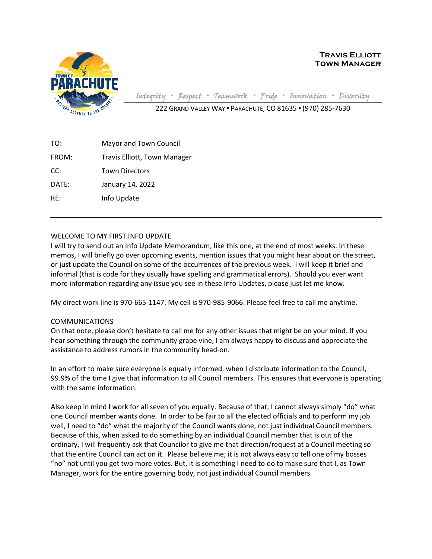

**Travis Elliott Town Manager**

Integrity **▪** Respect **▪** Teamwork **▪** Pride **▪** Innovation **▪** Diversity

222 GRAND VALLEY WAY ▪ PARACHUTE, CO 81635 ▪ (970) 285-7630

TO: Mayor and Town Council FROM: Travis Elliott, Town Manager CC: Town Directors DATE: January 14, 2022 RE: Info Update

# WELCOME TO MY FIRST INFO UPDATE

I will try to send out an Info Update Memorandum, like this one, at the end of most weeks. In these memos, I will briefly go over upcoming events, mention issues that you might hear about on the street, or just update the Council on some of the occurrences of the previous week. I will keep it brief and informal (that is code for they usually have spelling and grammatical errors). Should you ever want more information regarding any issue you see in these Info Updates, please just let me know.

My direct work line is 970-665-1147. My cell is 970-985-9066. Please feel free to call me anytime.

## COMMUNICATIONS

On that note, please don't hesitate to call me for any other issues that might be on your mind. If you hear something through the community grape vine, I am always happy to discuss and appreciate the assistance to address rumors in the community head-on.

In an effort to make sure everyone is equally informed, when I distribute information to the Council, 99.9% of the time I give that information to all Council members. This ensures that everyone is operating with the same information.

Also keep in mind I work for all seven of you equally. Because of that, I cannot always simply "do" what one Council member wants done. In order to be fair to all the elected officials and to perform my job well, I need to "do" what the majority of the Council wants done, not just individual Council members. Because of this, when asked to do something by an individual Council member that is out of the ordinary, I will frequently ask that Councilor to give me that direction/request at a Council meeting so that the entire Council can act on it. Please believe me; it is not always easy to tell one of my bosses "no" not until you get two more votes. But, it is something I need to do to make sure that I, as Town Manager, work for the entire governing body, not just individual Council members.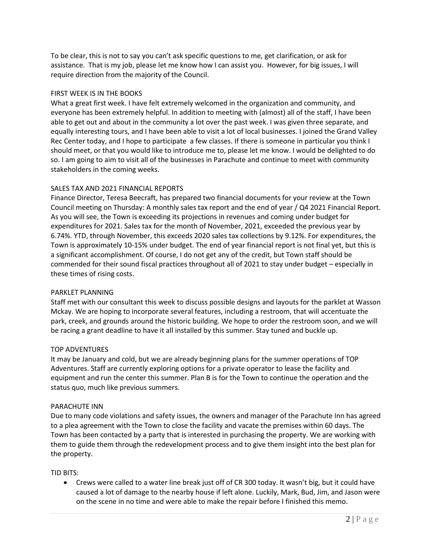To be clear, this is not to say you can't ask specific questions to me, get clarification, or ask for assistance. That is my job, please let me know how I can assist you. However, for big issues, I will require direction from the majority of the Council.

## FIRST WEEK IS IN THE BOOKS

What a great first week. I have felt extremely welcomed in the organization and community, and everyone has been extremely helpful. In addition to meeting with (almost) all of the staff, I have been able to get out and about in the community a lot over the past week. I was given three separate, and equally interesting tours, and I have been able to visit a lot of local businesses. I joined the Grand Valley Rec Center today, and I hope to participate a few classes. If there is someone in particular you think I should meet, or that you would like to introduce me to, please let me know. I would be delighted to do so. I am going to aim to visit all of the businesses in Parachute and continue to meet with community stakeholders in the coming weeks.

## SALES TAX AND 2021 FINANCIAL REPORTS

Finance Director, Teresa Beecraft, has prepared two financial documents for your review at the Town Council meeting on Thursday: A monthly sales tax report and the end of year / Q4 2021 Financial Report. As you will see, the Town is exceeding its projections in revenues and coming under budget for expenditures for 2021. Sales tax for the month of November, 2021, exceeded the previous year by 6.74%. YTD, through November, this exceeds 2020 sales tax collections by 9.12%. For expenditures, the Town is approximately 10-15% under budget. The end of year financial report is not final yet, but this is a significant accomplishment. Of course, I do not get any of the credit, but Town staff should be commended for their sound fiscal practices throughout all of 2021 to stay under budget – especially in these times of rising costs.

## PARKLET PLANNING

Staff met with our consultant this week to discuss possible designs and layouts for the parklet at Wasson Mckay. We are hoping to incorporate several features, including a restroom, that will accentuate the park, creek, and grounds around the historic building. We hope to order the restroom soon, and we will be racing a grant deadline to have it all installed by this summer. Stay tuned and buckle up.

## TOP ADVENTURES

It may be January and cold, but we are already beginning plans for the summer operations of TOP Adventures. Staff are currently exploring options for a private operator to lease the facility and equipment and run the center this summer. Plan B is for the Town to continue the operation and the status quo, much like previous summers.

### PARACHUTE INN

Due to many code violations and safety issues, the owners and manager of the Parachute Inn has agreed to a plea agreement with the Town to close the facility and vacate the premises within 60 days. The Town has been contacted by a party that is interested in purchasing the property. We are working with them to guide them through the redevelopment process and to give them insight into the best plan for the property.

## TID BITS:

• Crews were called to a water line break just off of CR 300 today. It wasn't big, but it could have caused a lot of damage to the nearby house if left alone. Luckily, Mark, Bud, Jim, and Jason were on the scene in no time and were able to make the repair before I finished this memo.